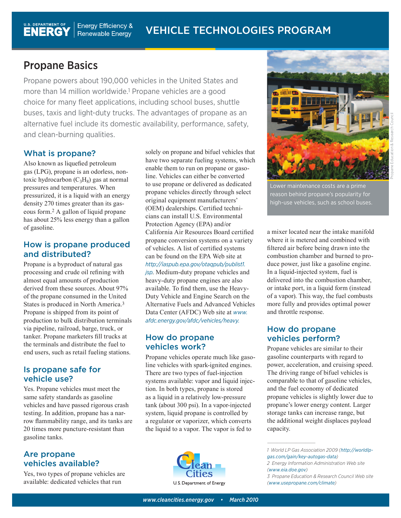# Propane Basics

Propane powers about 190,000 vehicles in the United States and more than 14 million worldwide.1 Propane vehicles are a good choice for many fleet applications, including school buses, shuttle buses, taxis and light-duty trucks. The advantages of propane as an alternative fuel include its domestic availability, performance, safety, and clean-burning qualities.

# What is propane?

Also known as liquefied petroleum gas (LPG), propane is an odorless, nontoxic hydrocarbon  $(C_3H_8)$  gas at normal pressures and temperatures. When pressurized, it is a liquid with an energy density 270 times greater than its gaseous form.2 A gallon of liquid propane has about 25% less energy than a gallon of gasoline.

#### How is propane produced and distributed?

Propane is a byproduct of natural gas processing and crude oil refining with almost equal amounts of production derived from these sources. About 97% of the propane consumed in the United States is produced in North America.3 Propane is shipped from its point of production to bulk distribution terminals via pipeline, railroad, barge, truck, or tanker. Propane marketers fill trucks at the terminals and distribute the fuel to end users, such as retail fueling stations.

## Is propane safe for vehicle use?

Yes. Propane vehicles must meet the same safety standards as gasoline vehicles and have passed rigorous crash testing. In addition, propane has a narrow flammability range, and its tanks are 20 times more puncture-resistant than gasoline tanks.

#### Are propane vehicles available?

Yes, two types of propane vehicles are available: dedicated vehicles that run

solely on propane and bifuel vehicles that have two separate fueling systems, which enable them to run on propane or gasoline. Vehicles can either be converted to use propane or delivered as dedicated propane vehicles directly through select original equipment manufacturers' (OEM) dealerships. Certified technicians can install U.S. Environmental Protection Agency (EPA) and/or California Air Resources Board certified propane conversion systems on a variety of vehicles. A list of certified systems can be found on the EPA Web site at *http://iaspub.epa.gov/otaqpub/publist1. jsp*. Medium-duty propane vehicles and heavy-duty propane engines are also available. To find them, use the Heavy-

Duty Vehicle and Engine Search on the Alternative Fuels and Advanced Vehicles Data Center (AFDC) Web site at *www. afdc.energy.gov/afdc/vehicles/heavy.*

## How do propane vehicles work?

Propane vehicles operate much like gasoline vehicles with spark-ignited engines. There are two types of fuel-injection systems available: vapor and liquid injection. In both types, propane is stored as a liquid in a relatively low-pressure tank (about 300 psi). In a vapor-injected system, liquid propane is controlled by a regulator or vaporizer, which converts the liquid to a vapor. The vapor is fed to





Lower maintenance costs are a prime reason behind propane's popularity for high-use vehicles, such as school buses.

a mixer located near the intake manifold where it is metered and combined with filtered air before being drawn into the combustion chamber and burned to produce power, just like a gasoline engine. In a liquid-injected system, fuel is delivered into the combustion chamber, or intake port, in a liquid form (instead of a vapor). This way, the fuel combusts more fully and provides optimal power and throttle response.

## How do propane vehicles perform?

Propane vehicles are similar to their gasoline counterparts with regard to power, acceleration, and cruising speed. The driving range of bifuel vehicles is comparable to that of gasoline vehicles, and the fuel economy of dedicated propane vehicles is slightly lower due to propane's lower energy content. Larger storage tanks can increase range, but the additional weight displaces payload capacity.

*1 World LP Gas Association 2009 (http://worldlpgas.com/gain/key-autogas-data)*

*————————————————————*

*<sup>2</sup> Energy Information Administration Web site (www.eia.doe.gov)*

*<sup>3</sup> Propane Education & Research Council Web site (www.usepropane.com/climate)*